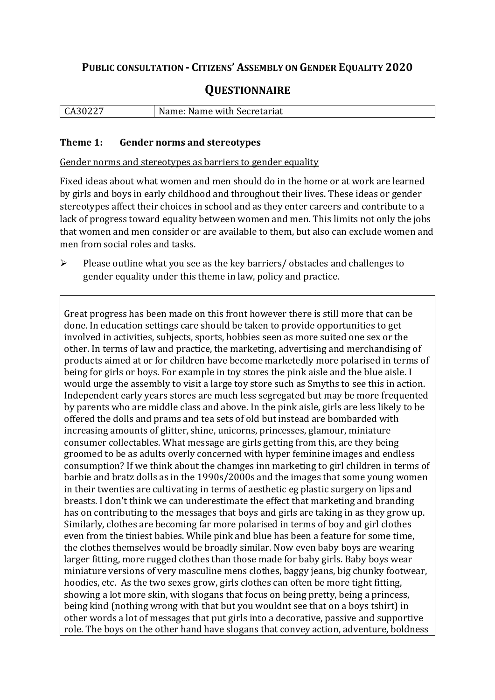# **PUBLIC CONSULTATION - CITIZENS' ASSEMBLY ON GENDER EQUALITY 2020**

# **QUESTIONNAIRE**

| CA30227 | Name: Name with Secretariat |
|---------|-----------------------------|
|         |                             |

#### **Theme 1: Gender norms and stereotypes**

Gender norms and stereotypes as barriers to gender equality

Fixed ideas about what women and men should do in the home or at work are learned by girls and boys in early childhood and throughout their lives. These ideas or gender stereotypes affect their choices in school and as they enter careers and contribute to a lack of progress toward equality between women and men. This limits not only the jobs that women and men consider or are available to them, but also can exclude women and men from social roles and tasks.

 $\triangleright$  Please outline what you see as the key barriers/ obstacles and challenges to gender equality under this theme in law, policy and practice.

Great progress has been made on this front however there is still more that can be done. In education settings care should be taken to provide opportunities to get involved in activities, subjects, sports, hobbies seen as more suited one sex or the other. In terms of law and practice, the marketing, advertising and merchandising of products aimed at or for children have become marketedly more polarised in terms of being for girls or boys. For example in toy stores the pink aisle and the blue aisle. I would urge the assembly to visit a large toy store such as Smyths to see this in action. Independent early years stores are much less segregated but may be more frequented by parents who are middle class and above. In the pink aisle, girls are less likely to be offered the dolls and prams and tea sets of old but instead are bombarded with increasing amounts of glitter, shine, unicorns, princesses, glamour, miniature consumer collectables. What message are girls getting from this, are they being groomed to be as adults overly concerned with hyper feminine images and endless consumption? If we think about the chamges inn marketing to girl children in terms of barbie and bratz dolls as in the 1990s/2000s and the images that some young women in their twenties are cultivating in terms of aesthetic eg plastic surgery on lips and breasts. I don't think we can underestimate the effect that marketing and branding has on contributing to the messages that boys and girls are taking in as they grow up. Similarly, clothes are becoming far more polarised in terms of boy and girl clothes even from the tiniest babies. While pink and blue has been a feature for some time, the clothes themselves would be broadly similar. Now even baby boys are wearing larger fitting, more rugged clothes than those made for baby girls. Baby boys wear miniature versions of very masculine mens clothes, baggy jeans, big chunky footwear, hoodies, etc. As the two sexes grow, girls clothes can often be more tight fitting, showing a lot more skin, with slogans that focus on being pretty, being a princess, being kind (nothing wrong with that but you wouldnt see that on a boys tshirt) in other words a lot of messages that put girls into a decorative, passive and supportive role. The boys on the other hand have slogans that convey action, adventure, boldness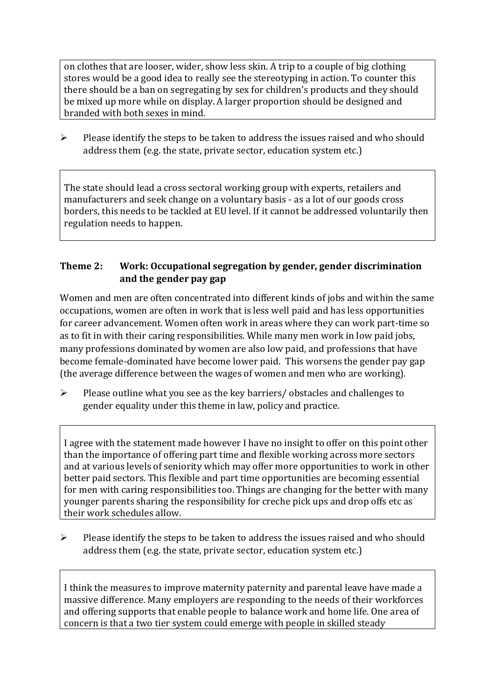on clothes that are looser, wider, show less skin. A trip to a couple of big clothing stores would be a good idea to really see the stereotyping in action. To counter this there should be a ban on segregating by sex for children's products and they should be mixed up more while on display. A larger proportion should be designed and branded with both sexes in mind.

 $\triangleright$  Please identify the steps to be taken to address the issues raised and who should address them (e.g. the state, private sector, education system etc.)

The state should lead a cross sectoral working group with experts, retailers and manufacturers and seek change on a voluntary basis - as a lot of our goods cross borders, this needs to be tackled at EU level. If it cannot be addressed voluntarily then regulation needs to happen.

#### **Theme 2: Work: Occupational segregation by gender, gender discrimination and the gender pay gap**

Women and men are often concentrated into different kinds of jobs and within the same occupations, women are often in work that is less well paid and has less opportunities for career advancement. Women often work in areas where they can work part-time so as to fit in with their caring responsibilities. While many men work in low paid jobs, many professions dominated by women are also low paid, and professions that have become female-dominated have become lower paid. This worsens the gender pay gap (the average difference between the wages of women and men who are working).

 $\triangleright$  Please outline what you see as the key barriers/ obstacles and challenges to gender equality under this theme in law, policy and practice.

I agree with the statement made however I have no insight to offer on this point other than the importance of offering part time and flexible working across more sectors and at various levels of seniority which may offer more opportunities to work in other better paid sectors. This flexible and part time opportunities are becoming essential for men with caring responsibilities too. Things are changing for the better with many younger parents sharing the responsibility for creche pick ups and drop offs etc as their work schedules allow.

 $\triangleright$  Please identify the steps to be taken to address the issues raised and who should address them (e.g. the state, private sector, education system etc.)

I think the measures to improve maternity paternity and parental leave have made a massive difference. Many employers are responding to the needs of their workforces and offering supports that enable people to balance work and home life. One area of concern is that a two tier system could emerge with people in skilled steady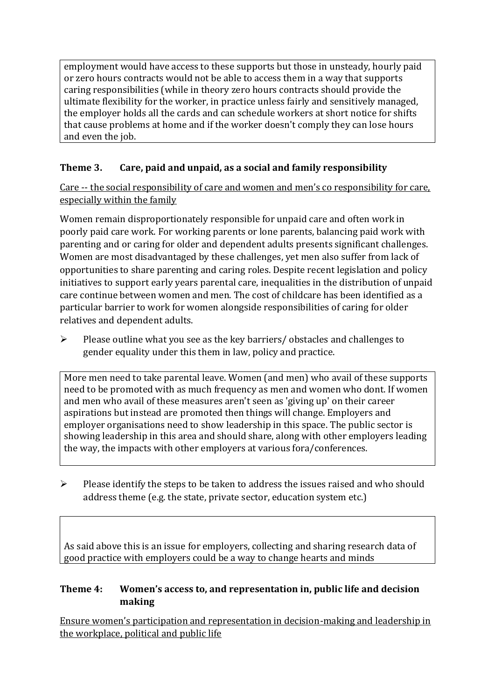employment would have access to these supports but those in unsteady, hourly paid or zero hours contracts would not be able to access them in a way that supports caring responsibilities (while in theory zero hours contracts should provide the ultimate flexibility for the worker, in practice unless fairly and sensitively managed, the employer holds all the cards and can schedule workers at short notice for shifts that cause problems at home and if the worker doesn't comply they can lose hours and even the job.

# **Theme 3. Care, paid and unpaid, as a social and family responsibility**

Care -- the social responsibility of care and women and men's co responsibility for care, especially within the family

Women remain disproportionately responsible for unpaid care and often work in poorly paid care work. For working parents or [lone parents,](https://aran.library.nuigalway.ie/bitstream/handle/10379/6044/Millar_and_Crosse_Activation_Report.pdf?sequence=1&isAllowed=y) balancing paid work with parenting and or caring for older and dependent adults presents significant challenges. Women are [most disadvantaged by these challenges,](https://eige.europa.eu/gender-equality-index/game/IE/W) yet men also suffer from lack of opportunities to share parenting and caring roles. Despite recent legislation and policy initiatives to support early years parental care, [inequalities in the distribution of unpaid](https://www.ihrec.ie/app/uploads/2019/07/Caring-and-Unpaid-Work-in-Ireland_Final.pdf)  [care](https://www.ihrec.ie/app/uploads/2019/07/Caring-and-Unpaid-Work-in-Ireland_Final.pdf) continue between women and men. The cost of childcare has been identified as a particular barrier to work for women alongside responsibilities of caring for older relatives and dependent adults.

 $\triangleright$  Please outline what you see as the key barriers/ obstacles and challenges to gender equality under this them in law, policy and practice.

More men need to take parental leave. Women (and men) who avail of these supports need to be promoted with as much frequency as men and women who dont. If women and men who avail of these measures aren't seen as 'giving up' on their career aspirations but instead are promoted then things will change. Employers and employer organisations need to show leadership in this space. The public sector is showing leadership in this area and should share, along with other employers leading the way, the impacts with other employers at various fora/conferences.

 $\triangleright$  Please identify the steps to be taken to address the issues raised and who should address theme (e.g. the state, private sector, education system etc.)

As said above this is an issue for employers, collecting and sharing research data of good practice with employers could be a way to change hearts and minds

### **Theme 4: Women's access to, and representation in, public life and decision making**

Ensure women's participation and representation in decision-making and leadership in the workplace, political and public life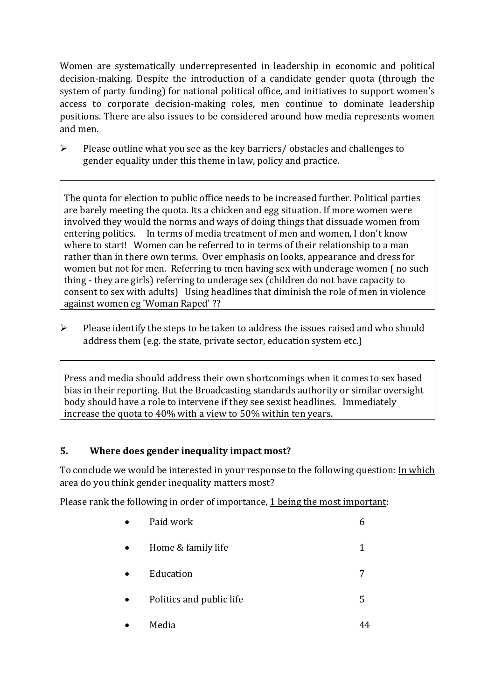Women are systematically underrepresented in leadership in [economic](https://eige.europa.eu/gender-equality-index/2019/compare-countries/power/2/bar) and [political](https://eige.europa.eu/gender-equality-index/2019/compare-countries/power/1/bar)  [decision-](https://eige.europa.eu/gender-equality-index/2019/compare-countries/power/1/bar)making. Despite the introduction of a candidate gender quota (through the system of party funding) for national political office, and [initiatives](https://betterbalance.ie/) to support women's access to corporate decision-making roles, men continue to dominate leadership positions. There are also issues to be considered around how media represents women and men.

 $\triangleright$  Please outline what you see as the key barriers/ obstacles and challenges to gender equality under this theme in law, policy and practice.

The quota for election to public office needs to be increased further. Political parties are barely meeting the quota. Its a chicken and egg situation. If more women were involved they would the norms and ways of doing things that dissuade women from entering politics. In terms of media treatment of men and women, I don't know where to start! Women can be referred to in terms of their relationship to a man rather than in there own terms. Over emphasis on looks, appearance and dress for women but not for men. Referring to men having sex with underage women ( no such thing - they are girls) referring to underage sex (children do not have capacity to consent to sex with adults) Using headlines that diminish the role of men in violence against women eg 'Woman Raped' ??

 $\triangleright$  Please identify the steps to be taken to address the issues raised and who should address them (e.g. the state, private sector, education system etc.)

Press and media should address their own shortcomings when it comes to sex based bias in their reporting. But the Broadcasting standards authority or similar oversight body should have a role to intervene if they see sexist headlines. Immediately increase the quota to 40% with a view to 50% within ten years.

# **5. Where does gender inequality impact most?**

To conclude we would be interested in your response to the following question: In which area do you think gender inequality matters most?

Please rank the following in order of importance, 1 being the most important:

| Paid work                |   |
|--------------------------|---|
| Home & family life       | 1 |
| Education                |   |
| Politics and public life | 5 |
| Media                    |   |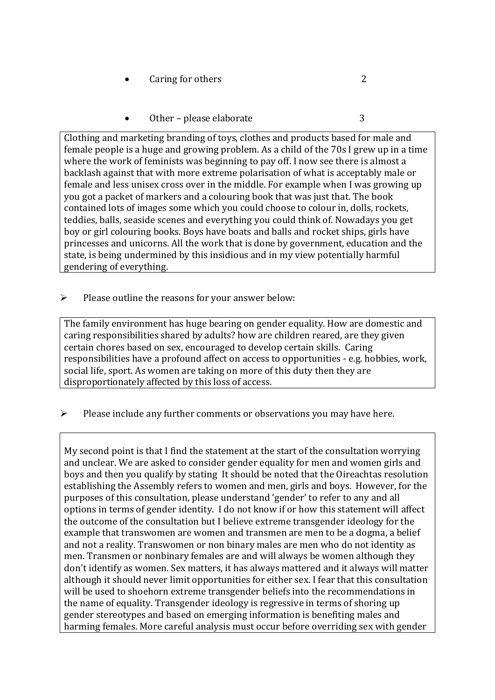- Caring for others 2
- Other please elaborate 3

Clothing and marketing branding of toys, clothes and products based for male and female people is a huge and growing problem. As a child of the 70s I grew up in a time where the work of feminists was beginning to pay off. I now see there is almost a backlash against that with more extreme polarisation of what is acceptably male or female and less unisex cross over in the middle. For example when I was growing up you got a packet of markers and a colouring book that was just that. The book contained lots of images some which you could choose to colour in, dolls, rockets, teddies, balls, seaside scenes and everything you could think of. Nowadays you get boy or girl colouring books. Boys have boats and balls and rocket ships, girls have princesses and unicorns. All the work that is done by government, education and the state, is being undermined by this insidious and in my view potentially harmful gendering of everything.

 $\triangleright$  Please outline the reasons for your answer below:

The family environment has huge bearing on gender equality. How are domestic and caring responsibilities shared by adults? how are children reared, are they given certain chores based on sex, encouraged to develop certain skills. Caring responsibilities have a profound affect on access to opportunities - e.g. hobbies, work, social life, sport. As women are taking on more of this duty then they are disproportionately affected by this loss of access.

 $\triangleright$  Please include any further comments or observations you may have here.

My second point is that I find the statement at the start of the consultation worrying and unclear. We are asked to consider gender equality for men and women girls and boys and then you qualify by stating It should be noted that the Oireachtas resolution establishing the Assembly refers to women and men, girls and boys. However, for the purposes of this consultation, please understand 'gender' to refer to any and all options in terms of gender identity. I do not know if or how this statement will affect the outcome of the consultation but I believe extreme transgender ideology for the example that transwomen are women and transmen are men to be a dogma, a belief and not a reality. Transwomen or non binary males are men who do not identity as men. Transmen or nonbinary females are and will always be women although they don't identify as women. Sex matters, it has always mattered and it always will matter although it should never limit opportunities for either sex. I fear that this consultation will be used to shoehorn extreme transgender beliefs into the recommendations in the name of equality. Transgender ideology is regressive in terms of shoring up gender stereotypes and based on emerging information is benefiting males and harming females. More careful analysis must occur before overriding sex with gender